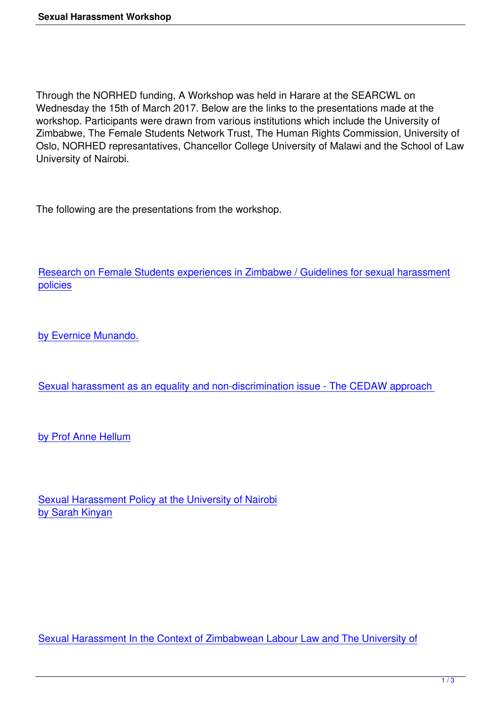Through the NORHED funding, A Workshop was held in Harare at the SEARCWL on Wednesday the 15th of March 2017. Below are the links to the presentations made at the workshop. Participants were drawn from various institutions which include the University of Zimbabwe, The Female Students Network Trust, The Human Rights Commission, University of Oslo, NORHED represantatives, Chancellor College University of Malawi and the School of Law University of Nairobi.

The following are the presentations from the workshop.

Research on Female Students experiences in Zimbabwe / Guidelines for sexual harassment policies

[by Ever](downloads/FSNT_Presentation.pdf)nice Munando.

[Sexual harassment as](downloads/FSNT_Presentation.pdf) an equality and non-discrimination issue - The CEDAW approach

[by Prof Anne Hellum](downloads/UoN_Presentation.pdf)

Sexual Harassment Policy at the University of Nairobi by Sarah Kinyan

Sexual Harassment In the Context of Zimbabwean Labour Law and The University of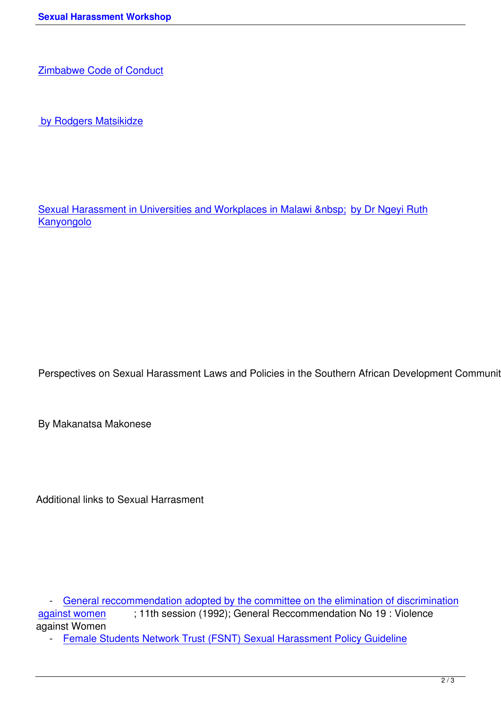[by Rodgers Matsikidze](downloads/UZ_Presentation.pdf)

Sexual Harassment in Universities and Workplaces in Malawi by Dr Ngeyi Ruth **Kanyongolo** 

Perspectives on Sexual Harassment Laws and Policies in the Southern African Development Community (S

By Makanatsa Makonese

Additional links to Sexual Harrasment

- General reccommendation adopted by the committee on the elimination of discrimination against women ; 11th session (1992); General Reccommendation No 19 : Violence against Women

- [Female Students Network Trust \(FSNT\) Sexual Harassment Policy Guideline](downloads/INT_CEDAW_19.pdf)